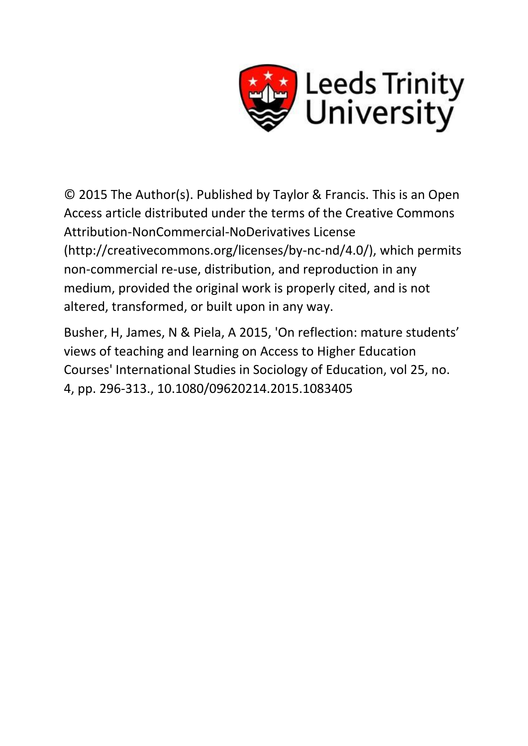

© 2015 The Author(s). Published by Taylor & Francis. This is an Open Access article distributed under the terms of the Creative Commons Attribution-NonCommercial-NoDerivatives License (http://creativecommons.org/licenses/by-nc-nd/4.0/), which permits non-commercial re-use, distribution, and reproduction in any medium, provided the original work is properly cited, and is not altered, transformed, or built upon in any way.

Busher, H, James, N & Piela, A 2015, 'On reflection: mature students' views of teaching and learning on Access to Higher Education Courses' International Studies in Sociology of Education, vol 25, no. 4, pp. 296-313., 10.1080/09620214.2015.1083405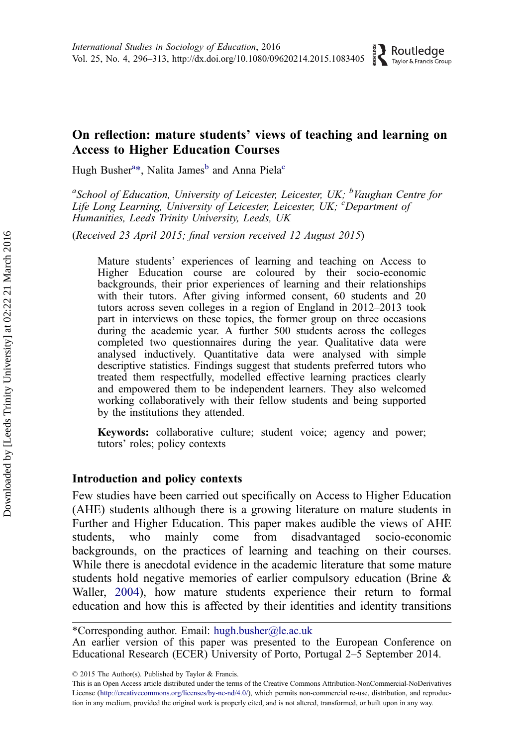# On reflection: mature students' views of teaching and learning on Access to Higher Education Courses

Hugh Busher<sup>a\*</sup>, Nalita James<sup>b</sup> and Anna Piela<sup>c</sup>

<sup>a</sup>School of Education, University of Leicester, Leicester, UK; <sup>b</sup>Vaughan Centre for Life Long Learning, University of Leicester, Leicester, UK;  $c^c$ Department of Humanities, Leeds Trinity University, Leeds, UK

(Received 23 April 2015; final version received 12 August 2015)

Mature students' experiences of learning and teaching on Access to Higher Education course are coloured by their socio-economic backgrounds, their prior experiences of learning and their relationships with their tutors. After giving informed consent, 60 students and 20 tutors across seven colleges in a region of England in 2012–2013 took part in interviews on these topics, the former group on three occasions during the academic year. A further 500 students across the colleges completed two questionnaires during the year. Qualitative data were analysed inductively. Quantitative data were analysed with simple descriptive statistics. Findings suggest that students preferred tutors who treated them respectfully, modelled effective learning practices clearly and empowered them to be independent learners. They also welcomed working collaboratively with their fellow students and being supported by the institutions they attended.

Keywords: collaborative culture; student voice; agency and power; tutors' roles; policy contexts

#### Introduction and policy contexts

Few studies have been carried out specifically on Access to Higher Education (AHE) students although there is a growing literature on mature students in Further and Higher Education. This paper makes audible the views of AHE students, who mainly come from disadvantaged socio-economic backgrounds, on the practices of learning and teaching on their courses. While there is anecdotal evidence in the academic literature that some mature students hold negative memories of earlier compulsory education (Brine & Waller, [2004](#page-16-0)), how mature students experience their return to formal education and how this is affected by their identities and identity transitions

An earlier version of this paper was presented to the European Conference on Educational Research (ECER) University of Porto, Portugal 2–5 September 2014.

© 2015 The Author(s). Published by Taylor & Francis.

<sup>\*</sup>Corresponding author. Email: [hugh.busher@le.ac.uk](mailto:hugh.busher@le.ac.uk)

This is an Open Access article distributed under the terms of the Creative Commons Attribution-NonCommercial-NoDerivatives License ([http://creativecommons.org/licenses/by-nc-nd/4.0/\)](http://creativecommons.org/licenses/by-nc-nd/4.0/), which permits non-commercial re-use, distribution, and reproduction in any medium, provided the original work is properly cited, and is not altered, transformed, or built upon in any way.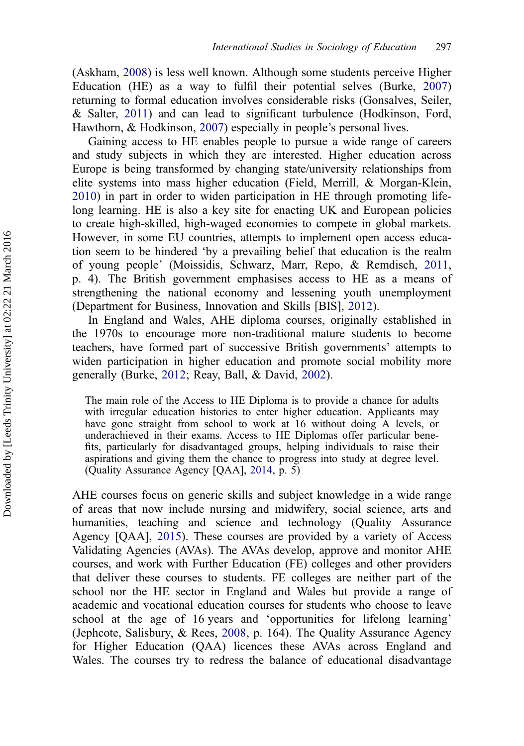(Askham, [2008\)](#page-16-0) is less well known. Although some students perceive Higher Education (HE) as a way to fulfil their potential selves (Burke, [2007](#page-16-0)) returning to formal education involves considerable risks (Gonsalves, Seiler, & Salter, [2011\)](#page-17-0) and can lead to significant turbulence (Hodkinson, Ford, Hawthorn, & Hodkinson, [2007\)](#page-17-0) especially in people's personal lives.

Gaining access to HE enables people to pursue a wide range of careers and study subjects in which they are interested. Higher education across Europe is being transformed by changing state/university relationships from elite systems into mass higher education (Field, Merrill, & Morgan-Klein, [2010\)](#page-16-0) in part in order to widen participation in HE through promoting lifelong learning. HE is also a key site for enacting UK and European policies to create high-skilled, high-waged economies to compete in global markets. However, in some EU countries, attempts to implement open access education seem to be hindered 'by a prevailing belief that education is the realm of young people' (Moissidis, Schwarz, Marr, Repo, & Remdisch, [2011](#page-17-0), p. 4). The British government emphasises access to HE as a means of strengthening the national economy and lessening youth unemployment (Department for Business, Innovation and Skills [BIS], [2012\)](#page-16-0).

In England and Wales, AHE diploma courses, originally established in the 1970s to encourage more non-traditional mature students to become teachers, have formed part of successive British governments' attempts to widen participation in higher education and promote social mobility more generally (Burke, [2012](#page-16-0); Reay, Ball, & David, [2002](#page-18-0)).

The main role of the Access to HE Diploma is to provide a chance for adults with irregular education histories to enter higher education. Applicants may have gone straight from school to work at 16 without doing A levels, or underachieved in their exams. Access to HE Diplomas offer particular benefits, particularly for disadvantaged groups, helping individuals to raise their aspirations and giving them the chance to progress into study at degree level. (Quality Assurance Agency [QAA], [2014,](#page-18-0) p. 5)

AHE courses focus on generic skills and subject knowledge in a wide range of areas that now include nursing and midwifery, social science, arts and humanities, teaching and science and technology (Quality Assurance Agency [QAA], [2015\)](#page-18-0). These courses are provided by a variety of Access Validating Agencies (AVAs). The AVAs develop, approve and monitor AHE courses, and work with Further Education (FE) colleges and other providers that deliver these courses to students. FE colleges are neither part of the school nor the HE sector in England and Wales but provide a range of academic and vocational education courses for students who choose to leave school at the age of 16 years and 'opportunities for lifelong learning' (Jephcote, Salisbury, & Rees, [2008,](#page-17-0) p. 164). The Quality Assurance Agency for Higher Education (QAA) licences these AVAs across England and Wales. The courses try to redress the balance of educational disadvantage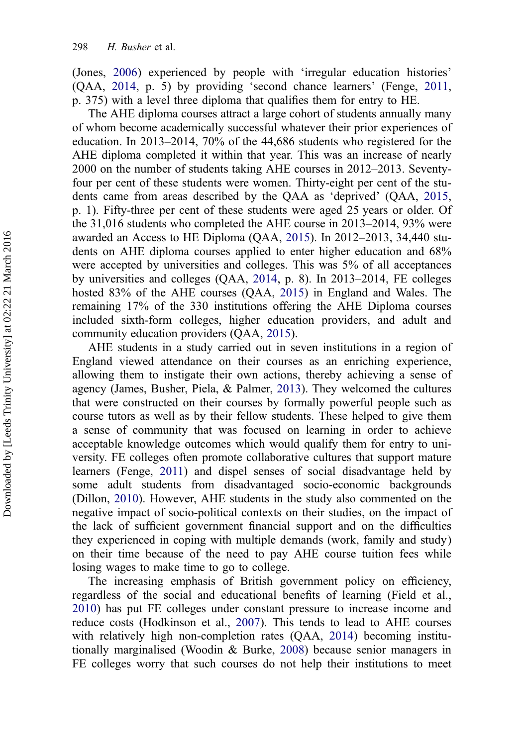(Jones, [2006](#page-17-0)) experienced by people with 'irregular education histories' (QAA, [2014](#page-18-0), p. 5) by providing 'second chance learners' (Fenge, [2011](#page-16-0), p. 375) with a level three diploma that qualifies them for entry to HE.

The AHE diploma courses attract a large cohort of students annually many of whom become academically successful whatever their prior experiences of education. In 2013–2014, 70% of the 44,686 students who registered for the AHE diploma completed it within that year. This was an increase of nearly 2000 on the number of students taking AHE courses in 2012–2013. Seventyfour per cent of these students were women. Thirty-eight per cent of the students came from areas described by the QAA as 'deprived' (QAA, [2015](#page-18-0), p. 1). Fifty-three per cent of these students were aged 25 years or older. Of the 31,016 students who completed the AHE course in 2013–2014, 93% were awarded an Access to HE Diploma (QAA, [2015](#page-18-0)). In 2012–2013, 34,440 students on AHE diploma courses applied to enter higher education and 68% were accepted by universities and colleges. This was 5% of all acceptances by universities and colleges (QAA, [2014](#page-18-0), p. 8). In 2013–2014, FE colleges hosted 83% of the AHE courses (QAA, [2015\)](#page-18-0) in England and Wales. The remaining 17% of the 330 institutions offering the AHE Diploma courses included sixth-form colleges, higher education providers, and adult and community education providers (QAA, [2015\)](#page-18-0).

AHE students in a study carried out in seven institutions in a region of England viewed attendance on their courses as an enriching experience, allowing them to instigate their own actions, thereby achieving a sense of agency (James, Busher, Piela, & Palmer, [2013\)](#page-17-0). They welcomed the cultures that were constructed on their courses by formally powerful people such as course tutors as well as by their fellow students. These helped to give them a sense of community that was focused on learning in order to achieve acceptable knowledge outcomes which would qualify them for entry to university. FE colleges often promote collaborative cultures that support mature learners (Fenge, [2011](#page-16-0)) and dispel senses of social disadvantage held by some adult students from disadvantaged socio-economic backgrounds (Dillon, [2010\)](#page-16-0). However, AHE students in the study also commented on the negative impact of socio-political contexts on their studies, on the impact of the lack of sufficient government financial support and on the difficulties they experienced in coping with multiple demands (work, family and study) on their time because of the need to pay AHE course tuition fees while losing wages to make time to go to college.

The increasing emphasis of British government policy on efficiency, regardless of the social and educational benefits of learning (Field et al., [2010\)](#page-16-0) has put FE colleges under constant pressure to increase income and reduce costs (Hodkinson et al., [2007](#page-17-0)). This tends to lead to AHE courses with relatively high non-completion rates (QAA, [2014](#page-18-0)) becoming institutionally marginalised (Woodin & Burke, [2008\)](#page-18-0) because senior managers in FE colleges worry that such courses do not help their institutions to meet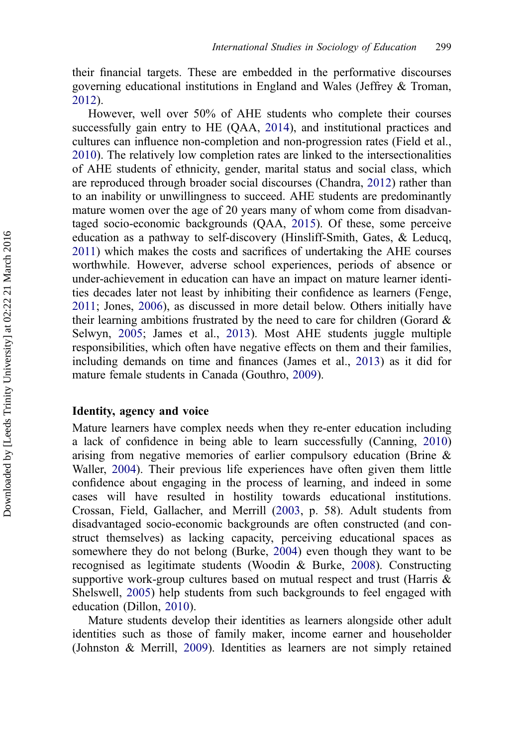their financial targets. These are embedded in the performative discourses governing educational institutions in England and Wales (Jeffrey & Troman, [2012\)](#page-17-0).

However, well over 50% of AHE students who complete their courses successfully gain entry to HE (QAA, [2014\)](#page-18-0), and institutional practices and cultures can influence non-completion and non-progression rates (Field et al., [2010\)](#page-16-0). The relatively low completion rates are linked to the intersectionalities of AHE students of ethnicity, gender, marital status and social class, which are reproduced through broader social discourses (Chandra, [2012\)](#page-16-0) rather than to an inability or unwillingness to succeed. AHE students are predominantly mature women over the age of 20 years many of whom come from disadvantaged socio-economic backgrounds (QAA, [2015\)](#page-18-0). Of these, some perceive education as a pathway to self-discovery (Hinsliff-Smith, Gates, & Leducq, [2011\)](#page-17-0) which makes the costs and sacrifices of undertaking the AHE courses worthwhile. However, adverse school experiences, periods of absence or under-achievement in education can have an impact on mature learner identities decades later not least by inhibiting their confidence as learners (Fenge, [2011;](#page-16-0) Jones, [2006](#page-17-0)), as discussed in more detail below. Others initially have their learning ambitions frustrated by the need to care for children (Gorard & Selwyn, [2005](#page-17-0); James et al., [2013](#page-17-0)). Most AHE students juggle multiple responsibilities, which often have negative effects on them and their families, including demands on time and finances (James et al., [2013](#page-17-0)) as it did for mature female students in Canada (Gouthro, [2009\)](#page-17-0).

# Identity, agency and voice

Mature learners have complex needs when they re-enter education including a lack of confidence in being able to learn successfully (Canning, [2010\)](#page-16-0) arising from negative memories of earlier compulsory education (Brine & Waller, [2004](#page-16-0)). Their previous life experiences have often given them little confidence about engaging in the process of learning, and indeed in some cases will have resulted in hostility towards educational institutions. Crossan, Field, Gallacher, and Merrill ([2003,](#page-16-0) p. 58). Adult students from disadvantaged socio-economic backgrounds are often constructed (and construct themselves) as lacking capacity, perceiving educational spaces as somewhere they do not belong (Burke, [2004](#page-16-0)) even though they want to be recognised as legitimate students (Woodin & Burke, [2008\)](#page-18-0). Constructing supportive work-group cultures based on mutual respect and trust (Harris & Shelswell, [2005](#page-17-0)) help students from such backgrounds to feel engaged with education (Dillon, [2010](#page-16-0)).

Mature students develop their identities as learners alongside other adult identities such as those of family maker, income earner and householder (Johnston & Merrill, [2009\)](#page-17-0). Identities as learners are not simply retained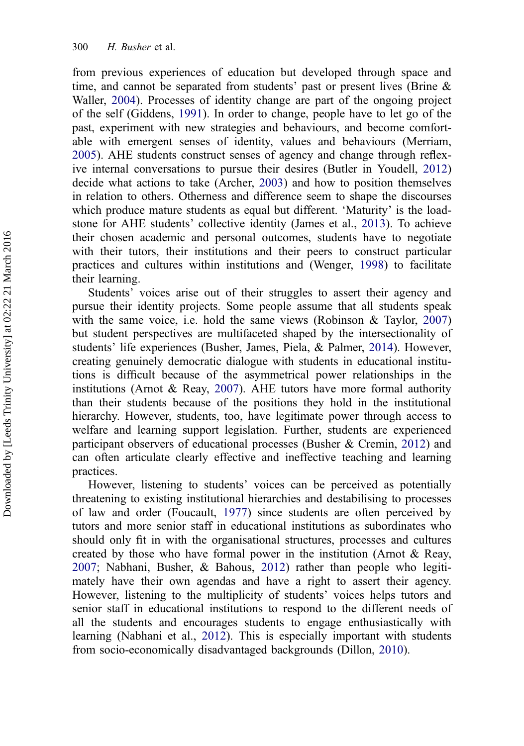from previous experiences of education but developed through space and time, and cannot be separated from students' past or present lives (Brine & Waller, [2004](#page-16-0)). Processes of identity change are part of the ongoing project of the self (Giddens, [1991\)](#page-17-0). In order to change, people have to let go of the past, experiment with new strategies and behaviours, and become comfortable with emergent senses of identity, values and behaviours (Merriam, [2005\)](#page-17-0). AHE students construct senses of agency and change through reflexive internal conversations to pursue their desires (Butler in Youdell, [2012](#page-18-0)) decide what actions to take (Archer, [2003](#page-15-0)) and how to position themselves in relation to others. Otherness and difference seem to shape the discourses which produce mature students as equal but different. 'Maturity' is the loadstone for AHE students' collective identity (James et al., [2013](#page-17-0)). To achieve their chosen academic and personal outcomes, students have to negotiate with their tutors, their institutions and their peers to construct particular practices and cultures within institutions and (Wenger, [1998\)](#page-18-0) to facilitate their learning.

Students' voices arise out of their struggles to assert their agency and pursue their identity projects. Some people assume that all students speak with the same voice, i.e. hold the same views (Robinson & Taylor, [2007\)](#page-18-0) but student perspectives are multifaceted shaped by the intersectionality of students' life experiences (Busher, James, Piela, & Palmer, [2014](#page-16-0)). However, creating genuinely democratic dialogue with students in educational institutions is difficult because of the asymmetrical power relationships in the institutions (Arnot & Reay, [2007](#page-15-0)). AHE tutors have more formal authority than their students because of the positions they hold in the institutional hierarchy. However, students, too, have legitimate power through access to welfare and learning support legislation. Further, students are experienced participant observers of educational processes (Busher & Cremin, [2012](#page-16-0)) and can often articulate clearly effective and ineffective teaching and learning practices.

However, listening to students' voices can be perceived as potentially threatening to existing institutional hierarchies and destabilising to processes of law and order (Foucault, [1977\)](#page-16-0) since students are often perceived by tutors and more senior staff in educational institutions as subordinates who should only fit in with the organisational structures, processes and cultures created by those who have formal power in the institution (Arnot & Reay, [2007;](#page-15-0) Nabhani, Busher, & Bahous, [2012\)](#page-17-0) rather than people who legitimately have their own agendas and have a right to assert their agency. However, listening to the multiplicity of students' voices helps tutors and senior staff in educational institutions to respond to the different needs of all the students and encourages students to engage enthusiastically with learning (Nabhani et al., [2012](#page-17-0)). This is especially important with students from socio-economically disadvantaged backgrounds (Dillon, [2010\)](#page-16-0).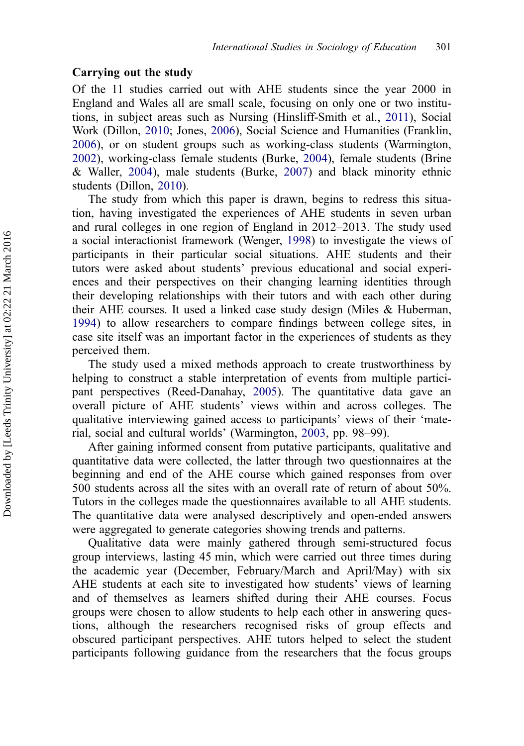# Carrying out the study

Of the 11 studies carried out with AHE students since the year 2000 in England and Wales all are small scale, focusing on only one or two institutions, in subject areas such as Nursing (Hinsliff-Smith et al., [2011\)](#page-17-0), Social Work (Dillon, [2010](#page-16-0); Jones, [2006\)](#page-17-0), Social Science and Humanities (Franklin, [2006\)](#page-16-0), or on student groups such as working-class students (Warmington, [2002\)](#page-18-0), working-class female students (Burke, [2004\)](#page-16-0), female students (Brine & Waller, [2004\)](#page-16-0), male students (Burke, [2007](#page-16-0)) and black minority ethnic students (Dillon, [2010](#page-16-0)).

The study from which this paper is drawn, begins to redress this situation, having investigated the experiences of AHE students in seven urban and rural colleges in one region of England in 2012–2013. The study used a social interactionist framework (Wenger, [1998](#page-18-0)) to investigate the views of participants in their particular social situations. AHE students and their tutors were asked about students' previous educational and social experiences and their perspectives on their changing learning identities through their developing relationships with their tutors and with each other during their AHE courses. It used a linked case study design (Miles & Huberman, [1994\)](#page-17-0) to allow researchers to compare findings between college sites, in case site itself was an important factor in the experiences of students as they perceived them.

The study used a mixed methods approach to create trustworthiness by helping to construct a stable interpretation of events from multiple participant perspectives (Reed-Danahay, [2005](#page-18-0)). The quantitative data gave an overall picture of AHE students' views within and across colleges. The qualitative interviewing gained access to participants' views of their 'material, social and cultural worlds' (Warmington, [2003,](#page-18-0) pp. 98–99).

After gaining informed consent from putative participants, qualitative and quantitative data were collected, the latter through two questionnaires at the beginning and end of the AHE course which gained responses from over 500 students across all the sites with an overall rate of return of about 50%. Tutors in the colleges made the questionnaires available to all AHE students. The quantitative data were analysed descriptively and open-ended answers were aggregated to generate categories showing trends and patterns.

Qualitative data were mainly gathered through semi-structured focus group interviews, lasting 45 min, which were carried out three times during the academic year (December, February/March and April/May) with six AHE students at each site to investigated how students' views of learning and of themselves as learners shifted during their AHE courses. Focus groups were chosen to allow students to help each other in answering questions, although the researchers recognised risks of group effects and obscured participant perspectives. AHE tutors helped to select the student participants following guidance from the researchers that the focus groups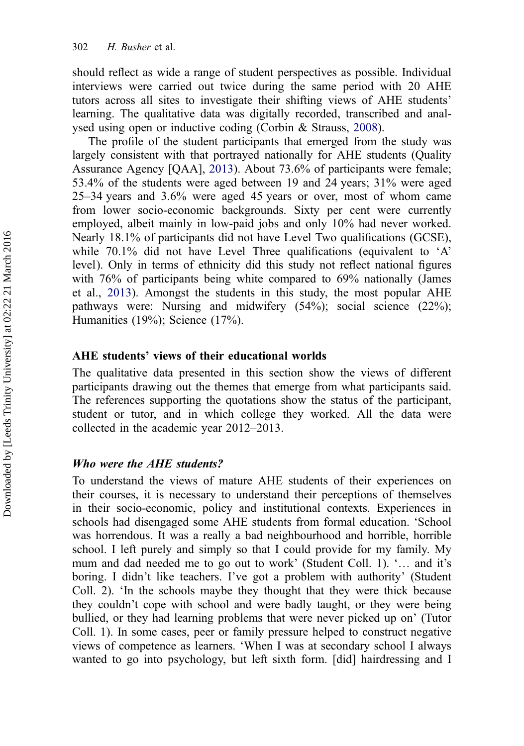should reflect as wide a range of student perspectives as possible. Individual interviews were carried out twice during the same period with 20 AHE tutors across all sites to investigate their shifting views of AHE students' learning. The qualitative data was digitally recorded, transcribed and analysed using open or inductive coding (Corbin & Strauss, [2008\)](#page-16-0).

The profile of the student participants that emerged from the study was largely consistent with that portrayed nationally for AHE students (Quality Assurance Agency [QAA], [2013](#page-18-0)). About 73.6% of participants were female; 53.4% of the students were aged between 19 and 24 years; 31% were aged 25–34 years and 3.6% were aged 45 years or over, most of whom came from lower socio-economic backgrounds. Sixty per cent were currently employed, albeit mainly in low-paid jobs and only 10% had never worked. Nearly 18.1% of participants did not have Level Two qualifications (GCSE), while 70.1% did not have Level Three qualifications (equivalent to 'A' level). Only in terms of ethnicity did this study not reflect national figures with 76% of participants being white compared to 69% nationally (James et al., [2013](#page-17-0)). Amongst the students in this study, the most popular AHE pathways were: Nursing and midwifery (54%); social science (22%); Humanities (19%); Science (17%).

# AHE students' views of their educational worlds

The qualitative data presented in this section show the views of different participants drawing out the themes that emerge from what participants said. The references supporting the quotations show the status of the participant, student or tutor, and in which college they worked. All the data were collected in the academic year 2012–2013.

# Who were the **AHE** students?

To understand the views of mature AHE students of their experiences on their courses, it is necessary to understand their perceptions of themselves in their socio-economic, policy and institutional contexts. Experiences in schools had disengaged some AHE students from formal education. 'School was horrendous. It was a really a bad neighbourhood and horrible, horrible school. I left purely and simply so that I could provide for my family. My mum and dad needed me to go out to work' (Student Coll. 1). '… and it's boring. I didn't like teachers. I've got a problem with authority' (Student Coll. 2). 'In the schools maybe they thought that they were thick because they couldn't cope with school and were badly taught, or they were being bullied, or they had learning problems that were never picked up on' (Tutor Coll. 1). In some cases, peer or family pressure helped to construct negative views of competence as learners. 'When I was at secondary school I always wanted to go into psychology, but left sixth form. [did] hairdressing and I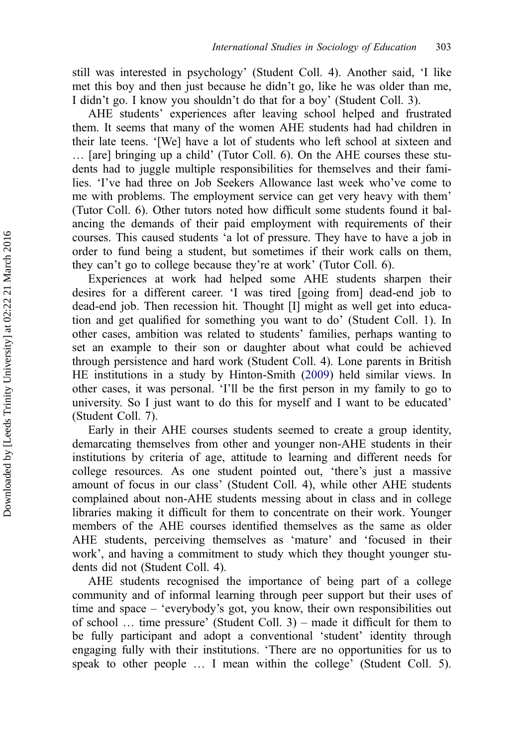still was interested in psychology' (Student Coll. 4). Another said, 'I like met this boy and then just because he didn't go, like he was older than me, I didn't go. I know you shouldn't do that for a boy' (Student Coll. 3).

AHE students' experiences after leaving school helped and frustrated them. It seems that many of the women AHE students had had children in their late teens. '[We] have a lot of students who left school at sixteen and … [are] bringing up a child' (Tutor Coll. 6). On the AHE courses these students had to juggle multiple responsibilities for themselves and their families. 'I've had three on Job Seekers Allowance last week who've come to me with problems. The employment service can get very heavy with them' (Tutor Coll. 6). Other tutors noted how difficult some students found it balancing the demands of their paid employment with requirements of their courses. This caused students 'a lot of pressure. They have to have a job in order to fund being a student, but sometimes if their work calls on them, they can't go to college because they're at work' (Tutor Coll. 6).

Experiences at work had helped some AHE students sharpen their desires for a different career. 'I was tired [going from] dead-end job to dead-end job. Then recession hit. Thought [I] might as well get into education and get qualified for something you want to do' (Student Coll. 1). In other cases, ambition was related to students' families, perhaps wanting to set an example to their son or daughter about what could be achieved through persistence and hard work (Student Coll. 4). Lone parents in British HE institutions in a study by Hinton-Smith [\(2009](#page-17-0)) held similar views. In other cases, it was personal. 'I'll be the first person in my family to go to university. So I just want to do this for myself and I want to be educated' (Student Coll. 7).

Early in their AHE courses students seemed to create a group identity, demarcating themselves from other and younger non-AHE students in their institutions by criteria of age, attitude to learning and different needs for college resources. As one student pointed out, 'there's just a massive amount of focus in our class' (Student Coll. 4), while other AHE students complained about non-AHE students messing about in class and in college libraries making it difficult for them to concentrate on their work. Younger members of the AHE courses identified themselves as the same as older AHE students, perceiving themselves as 'mature' and 'focused in their work', and having a commitment to study which they thought younger students did not (Student Coll. 4).

AHE students recognised the importance of being part of a college community and of informal learning through peer support but their uses of time and space – 'everybody's got, you know, their own responsibilities out of school … time pressure' (Student Coll. 3) – made it difficult for them to be fully participant and adopt a conventional 'student' identity through engaging fully with their institutions. 'There are no opportunities for us to speak to other people … I mean within the college' (Student Coll. 5).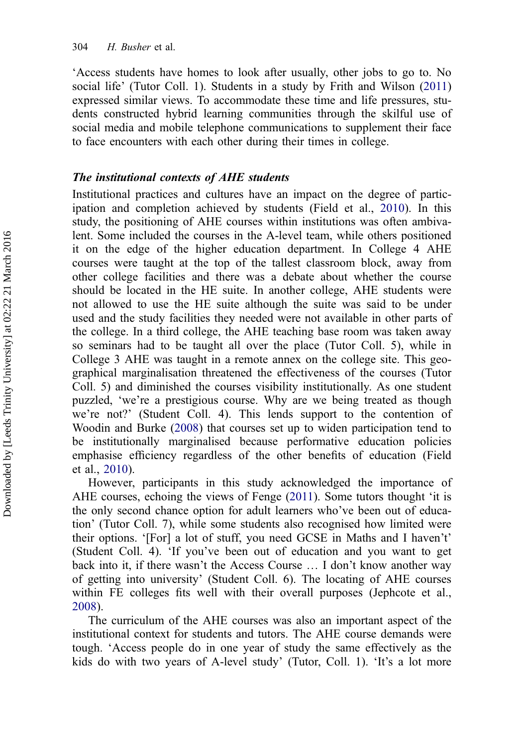'Access students have homes to look after usually, other jobs to go to. No social life' (Tutor Coll. 1). Students in a study by Frith and Wilson ([2011\)](#page-17-0) expressed similar views. To accommodate these time and life pressures, students constructed hybrid learning communities through the skilful use of social media and mobile telephone communications to supplement their face to face encounters with each other during their times in college.

#### The institutional contexts of AHE students

Institutional practices and cultures have an impact on the degree of participation and completion achieved by students (Field et al., [2010](#page-16-0)). In this study, the positioning of AHE courses within institutions was often ambivalent. Some included the courses in the A-level team, while others positioned it on the edge of the higher education department. In College 4 AHE courses were taught at the top of the tallest classroom block, away from other college facilities and there was a debate about whether the course should be located in the HE suite. In another college, AHE students were not allowed to use the HE suite although the suite was said to be under used and the study facilities they needed were not available in other parts of the college. In a third college, the AHE teaching base room was taken away so seminars had to be taught all over the place (Tutor Coll. 5), while in College 3 AHE was taught in a remote annex on the college site. This geographical marginalisation threatened the effectiveness of the courses (Tutor Coll. 5) and diminished the courses visibility institutionally. As one student puzzled, 'we're a prestigious course. Why are we being treated as though we're not?' (Student Coll. 4). This lends support to the contention of Woodin and Burke [\(2008](#page-18-0)) that courses set up to widen participation tend to be institutionally marginalised because performative education policies emphasise efficiency regardless of the other benefits of education (Field et al., [2010\)](#page-16-0).

However, participants in this study acknowledged the importance of AHE courses, echoing the views of Fenge ([2011](#page-16-0)). Some tutors thought 'it is the only second chance option for adult learners who've been out of education' (Tutor Coll. 7), while some students also recognised how limited were their options. '[For] a lot of stuff, you need GCSE in Maths and I haven't' (Student Coll. 4). 'If you've been out of education and you want to get back into it, if there wasn't the Access Course … I don't know another way of getting into university' (Student Coll. 6). The locating of AHE courses within FE colleges fits well with their overall purposes (Jephcote et al., [2008\)](#page-17-0).

The curriculum of the AHE courses was also an important aspect of the institutional context for students and tutors. The AHE course demands were tough. 'Access people do in one year of study the same effectively as the kids do with two years of A-level study' (Tutor, Coll. 1). 'It's a lot more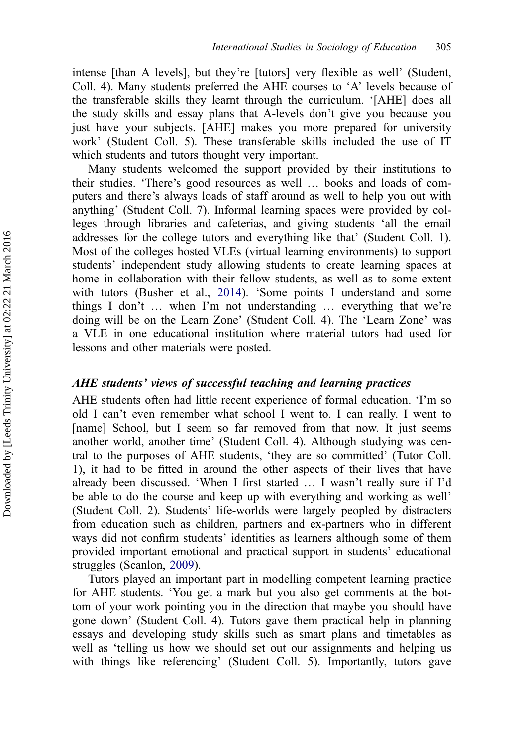intense [than A levels], but they're [tutors] very flexible as well' (Student, Coll. 4). Many students preferred the AHE courses to 'A' levels because of the transferable skills they learnt through the curriculum. '[AHE] does all the study skills and essay plans that A-levels don't give you because you just have your subjects. [AHE] makes you more prepared for university work' (Student Coll. 5). These transferable skills included the use of IT which students and tutors thought very important.

Many students welcomed the support provided by their institutions to their studies. 'There's good resources as well … books and loads of computers and there's always loads of staff around as well to help you out with anything' (Student Coll. 7). Informal learning spaces were provided by colleges through libraries and cafeterias, and giving students 'all the email addresses for the college tutors and everything like that' (Student Coll. 1). Most of the colleges hosted VLEs (virtual learning environments) to support students' independent study allowing students to create learning spaces at home in collaboration with their fellow students, as well as to some extent with tutors (Busher et al., [2014\)](#page-16-0). 'Some points I understand and some things I don't … when I'm not understanding … everything that we're doing will be on the Learn Zone' (Student Coll. 4). The 'Learn Zone' was a VLE in one educational institution where material tutors had used for lessons and other materials were posted.

# AHE students' views of successful teaching and learning practices

AHE students often had little recent experience of formal education. 'I'm so old I can't even remember what school I went to. I can really. I went to [name] School, but I seem so far removed from that now. It just seems another world, another time' (Student Coll. 4). Although studying was central to the purposes of AHE students, 'they are so committed' (Tutor Coll. 1), it had to be fitted in around the other aspects of their lives that have already been discussed. 'When I first started … I wasn't really sure if I'd be able to do the course and keep up with everything and working as well' (Student Coll. 2). Students' life-worlds were largely peopled by distracters from education such as children, partners and ex-partners who in different ways did not confirm students' identities as learners although some of them provided important emotional and practical support in students' educational struggles (Scanlon, [2009\)](#page-18-0).

Tutors played an important part in modelling competent learning practice for AHE students. 'You get a mark but you also get comments at the bottom of your work pointing you in the direction that maybe you should have gone down' (Student Coll. 4). Tutors gave them practical help in planning essays and developing study skills such as smart plans and timetables as well as 'telling us how we should set out our assignments and helping us with things like referencing' (Student Coll. 5). Importantly, tutors gave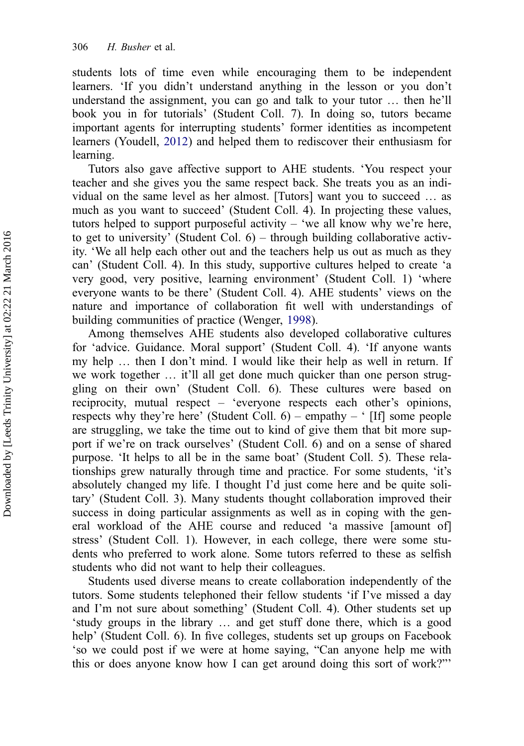students lots of time even while encouraging them to be independent learners. 'If you didn't understand anything in the lesson or you don't understand the assignment, you can go and talk to your tutor … then he'll book you in for tutorials' (Student Coll. 7). In doing so, tutors became important agents for interrupting students' former identities as incompetent learners (Youdell, [2012](#page-18-0)) and helped them to rediscover their enthusiasm for learning.

Tutors also gave affective support to AHE students. 'You respect your teacher and she gives you the same respect back. She treats you as an individual on the same level as her almost. [Tutors] want you to succeed … as much as you want to succeed' (Student Coll. 4). In projecting these values, tutors helped to support purposeful activity – 'we all know why we're here, to get to university' (Student Col.  $6$ ) – through building collaborative activity. 'We all help each other out and the teachers help us out as much as they can' (Student Coll. 4). In this study, supportive cultures helped to create 'a very good, very positive, learning environment' (Student Coll. 1) 'where everyone wants to be there' (Student Coll. 4). AHE students' views on the nature and importance of collaboration fit well with understandings of building communities of practice (Wenger, [1998](#page-18-0)).

Among themselves AHE students also developed collaborative cultures for 'advice. Guidance. Moral support' (Student Coll. 4). 'If anyone wants my help … then I don't mind. I would like their help as well in return. If we work together … it'll all get done much quicker than one person struggling on their own' (Student Coll. 6). These cultures were based on reciprocity, mutual respect – 'everyone respects each other's opinions, respects why they're here' (Student Coll.  $6$ ) – empathy – ' [If] some people are struggling, we take the time out to kind of give them that bit more support if we're on track ourselves' (Student Coll. 6) and on a sense of shared purpose. 'It helps to all be in the same boat' (Student Coll. 5). These relationships grew naturally through time and practice. For some students, 'it's absolutely changed my life. I thought I'd just come here and be quite solitary' (Student Coll. 3). Many students thought collaboration improved their success in doing particular assignments as well as in coping with the general workload of the AHE course and reduced 'a massive [amount of] stress' (Student Coll. 1). However, in each college, there were some students who preferred to work alone. Some tutors referred to these as selfish students who did not want to help their colleagues.

Students used diverse means to create collaboration independently of the tutors. Some students telephoned their fellow students 'if I've missed a day and I'm not sure about something' (Student Coll. 4). Other students set up 'study groups in the library … and get stuff done there, which is a good help' (Student Coll. 6). In five colleges, students set up groups on Facebook 'so we could post if we were at home saying, "Can anyone help me with this or does anyone know how I can get around doing this sort of work?"'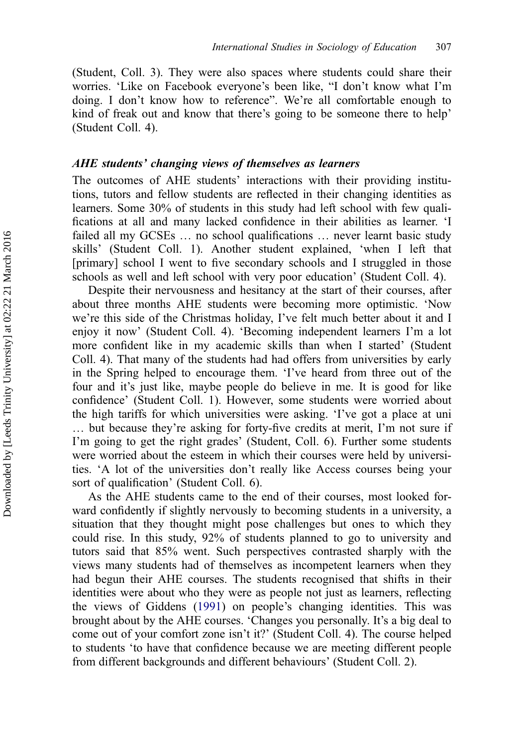(Student, Coll. 3). They were also spaces where students could share their worries. 'Like on Facebook everyone's been like, "I don't know what I'm doing. I don't know how to reference". We're all comfortable enough to kind of freak out and know that there's going to be someone there to help' (Student Coll. 4).

## AHE students' changing views of themselves as learners

The outcomes of AHE students' interactions with their providing institutions, tutors and fellow students are reflected in their changing identities as learners. Some 30% of students in this study had left school with few qualifications at all and many lacked confidence in their abilities as learner. 'I failed all my GCSEs ... no school qualifications ... never learnt basic study skills' (Student Coll. 1). Another student explained, 'when I left that [primary] school I went to five secondary schools and I struggled in those schools as well and left school with very poor education' (Student Coll. 4).

Despite their nervousness and hesitancy at the start of their courses, after about three months AHE students were becoming more optimistic. 'Now we're this side of the Christmas holiday, I've felt much better about it and I enjoy it now' (Student Coll. 4). 'Becoming independent learners I'm a lot more confident like in my academic skills than when I started' (Student Coll. 4). That many of the students had had offers from universities by early in the Spring helped to encourage them. 'I've heard from three out of the four and it's just like, maybe people do believe in me. It is good for like confidence' (Student Coll. 1). However, some students were worried about the high tariffs for which universities were asking. 'I've got a place at uni … but because they're asking for forty-five credits at merit, I'm not sure if I'm going to get the right grades' (Student, Coll. 6). Further some students were worried about the esteem in which their courses were held by universities. 'A lot of the universities don't really like Access courses being your sort of qualification' (Student Coll. 6).

As the AHE students came to the end of their courses, most looked forward confidently if slightly nervously to becoming students in a university, a situation that they thought might pose challenges but ones to which they could rise. In this study, 92% of students planned to go to university and tutors said that 85% went. Such perspectives contrasted sharply with the views many students had of themselves as incompetent learners when they had begun their AHE courses. The students recognised that shifts in their identities were about who they were as people not just as learners, reflecting the views of Giddens ([1991\)](#page-17-0) on people's changing identities. This was brought about by the AHE courses. 'Changes you personally. It's a big deal to come out of your comfort zone isn't it?' (Student Coll. 4). The course helped to students 'to have that confidence because we are meeting different people from different backgrounds and different behaviours' (Student Coll. 2).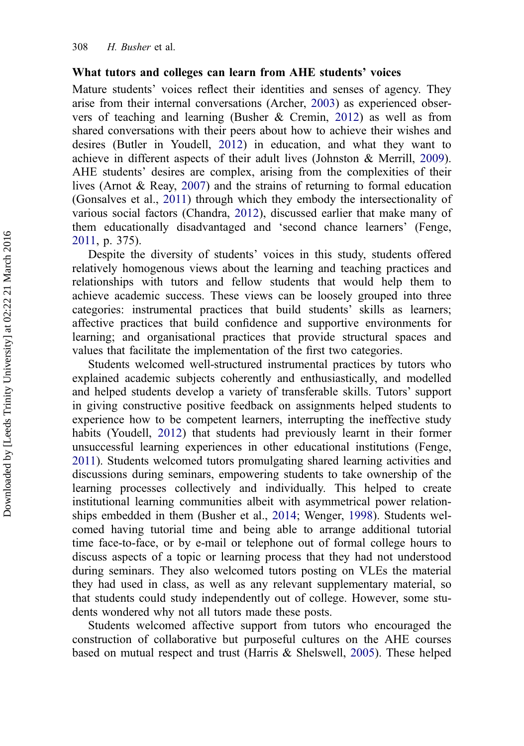## What tutors and colleges can learn from AHE students' voices

Mature students' voices reflect their identities and senses of agency. They arise from their internal conversations (Archer, [2003\)](#page-15-0) as experienced observers of teaching and learning (Busher & Cremin, [2012](#page-16-0)) as well as from shared conversations with their peers about how to achieve their wishes and desires (Butler in Youdell, [2012\)](#page-18-0) in education, and what they want to achieve in different aspects of their adult lives (Johnston & Merrill, [2009\)](#page-17-0). AHE students' desires are complex, arising from the complexities of their lives (Arnot & Reay, [2007\)](#page-15-0) and the strains of returning to formal education (Gonsalves et al., [2011](#page-17-0)) through which they embody the intersectionality of various social factors (Chandra, [2012](#page-16-0)), discussed earlier that make many of them educationally disadvantaged and 'second chance learners' (Fenge, [2011,](#page-16-0) p. 375).

Despite the diversity of students' voices in this study, students offered relatively homogenous views about the learning and teaching practices and relationships with tutors and fellow students that would help them to achieve academic success. These views can be loosely grouped into three categories: instrumental practices that build students' skills as learners; affective practices that build confidence and supportive environments for learning; and organisational practices that provide structural spaces and values that facilitate the implementation of the first two categories.

Students welcomed well-structured instrumental practices by tutors who explained academic subjects coherently and enthusiastically, and modelled and helped students develop a variety of transferable skills. Tutors' support in giving constructive positive feedback on assignments helped students to experience how to be competent learners, interrupting the ineffective study habits (Youdell, [2012\)](#page-18-0) that students had previously learnt in their former unsuccessful learning experiences in other educational institutions (Fenge, [2011\)](#page-16-0). Students welcomed tutors promulgating shared learning activities and discussions during seminars, empowering students to take ownership of the learning processes collectively and individually. This helped to create institutional learning communities albeit with asymmetrical power relationships embedded in them (Busher et al., [2014](#page-16-0); Wenger, [1998](#page-18-0)). Students welcomed having tutorial time and being able to arrange additional tutorial time face-to-face, or by e-mail or telephone out of formal college hours to discuss aspects of a topic or learning process that they had not understood during seminars. They also welcomed tutors posting on VLEs the material they had used in class, as well as any relevant supplementary material, so that students could study independently out of college. However, some students wondered why not all tutors made these posts.

Students welcomed affective support from tutors who encouraged the construction of collaborative but purposeful cultures on the AHE courses based on mutual respect and trust (Harris & Shelswell, [2005\)](#page-17-0). These helped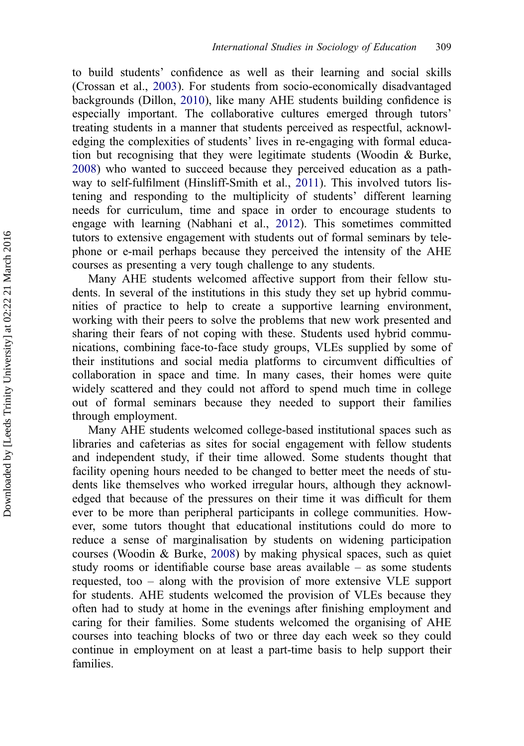to build students' confidence as well as their learning and social skills (Crossan et al., [2003\)](#page-16-0). For students from socio-economically disadvantaged backgrounds (Dillon, [2010\)](#page-16-0), like many AHE students building confidence is especially important. The collaborative cultures emerged through tutors' treating students in a manner that students perceived as respectful, acknowledging the complexities of students' lives in re-engaging with formal education but recognising that they were legitimate students (Woodin & Burke, [2008\)](#page-18-0) who wanted to succeed because they perceived education as a pathway to self-fulfilment (Hinsliff-Smith et al., [2011\)](#page-17-0). This involved tutors listening and responding to the multiplicity of students' different learning needs for curriculum, time and space in order to encourage students to engage with learning (Nabhani et al., [2012\)](#page-17-0). This sometimes committed tutors to extensive engagement with students out of formal seminars by telephone or e-mail perhaps because they perceived the intensity of the AHE courses as presenting a very tough challenge to any students.

Many AHE students welcomed affective support from their fellow students. In several of the institutions in this study they set up hybrid communities of practice to help to create a supportive learning environment, working with their peers to solve the problems that new work presented and sharing their fears of not coping with these. Students used hybrid communications, combining face-to-face study groups, VLEs supplied by some of their institutions and social media platforms to circumvent difficulties of collaboration in space and time. In many cases, their homes were quite widely scattered and they could not afford to spend much time in college out of formal seminars because they needed to support their families through employment.

Many AHE students welcomed college-based institutional spaces such as libraries and cafeterias as sites for social engagement with fellow students and independent study, if their time allowed. Some students thought that facility opening hours needed to be changed to better meet the needs of students like themselves who worked irregular hours, although they acknowledged that because of the pressures on their time it was difficult for them ever to be more than peripheral participants in college communities. However, some tutors thought that educational institutions could do more to reduce a sense of marginalisation by students on widening participation courses (Woodin & Burke, [2008\)](#page-18-0) by making physical spaces, such as quiet study rooms or identifiable course base areas available – as some students requested, too – along with the provision of more extensive VLE support for students. AHE students welcomed the provision of VLEs because they often had to study at home in the evenings after finishing employment and caring for their families. Some students welcomed the organising of AHE courses into teaching blocks of two or three day each week so they could continue in employment on at least a part-time basis to help support their families.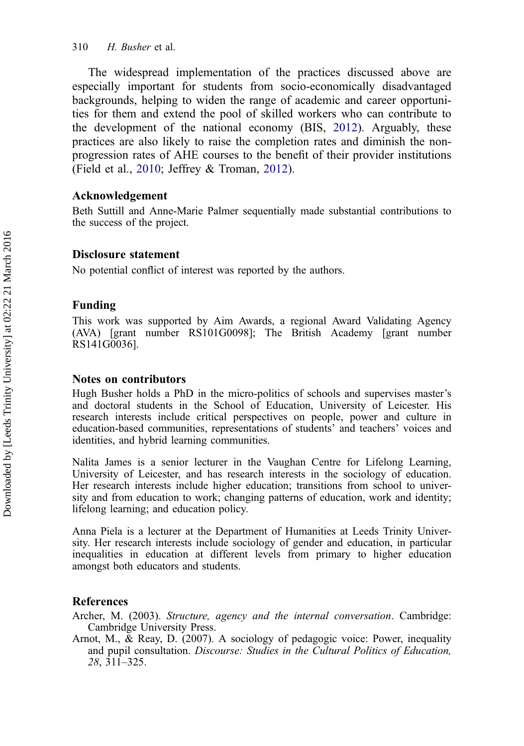<span id="page-15-0"></span>The widespread implementation of the practices discussed above are especially important for students from socio-economically disadvantaged backgrounds, helping to widen the range of academic and career opportunities for them and extend the pool of skilled workers who can contribute to the development of the national economy (BIS, [2012\)](#page-16-0). Arguably, these practices are also likely to raise the completion rates and diminish the nonprogression rates of AHE courses to the benefit of their provider institutions (Field et al., [2010](#page-16-0); Jeffrey & Troman, [2012](#page-17-0)).

#### Acknowledgement

Beth Suttill and Anne-Marie Palmer sequentially made substantial contributions to the success of the project.

#### Disclosure statement

No potential conflict of interest was reported by the authors.

#### Funding

This work was supported by Aim Awards, a regional Award Validating Agency (AVA) [grant number RS101G0098]; The British Academy [grant number RS141G0036].

#### Notes on contributors

Hugh Busher holds a PhD in the micro-politics of schools and supervises master's and doctoral students in the School of Education, University of Leicester. His research interests include critical perspectives on people, power and culture in education-based communities, representations of students' and teachers' voices and identities, and hybrid learning communities.

Nalita James is a senior lecturer in the Vaughan Centre for Lifelong Learning, University of Leicester, and has research interests in the sociology of education. Her research interests include higher education; transitions from school to university and from education to work; changing patterns of education, work and identity; lifelong learning; and education policy.

Anna Piela is a lecturer at the Department of Humanities at Leeds Trinity University. Her research interests include sociology of gender and education, in particular inequalities in education at different levels from primary to higher education amongst both educators and students.

#### References

Archer, M. (2003). Structure, agency and the internal conversation. Cambridge: Cambridge University Press.

Arnot, M., & Reay, D. (2007). A sociology of pedagogic voice: Power, inequality and pupil consultation. Discourse: Studies in the Cultural Politics of Education, 28, 311–325.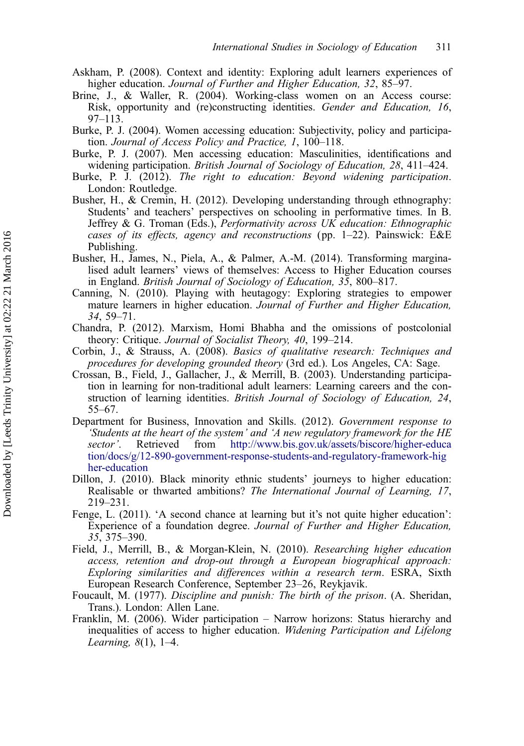- <span id="page-16-0"></span>Askham, P. (2008). Context and identity: Exploring adult learners experiences of higher education. Journal of Further and Higher Education, 32, 85–97.
- Brine, J., & Waller, R. (2004). Working-class women on an Access course: Risk, opportunity and (re)constructing identities. Gender and Education, 16, 97–113.
- Burke, P. J. (2004). Women accessing education: Subjectivity, policy and participation. Journal of Access Policy and Practice, 1, 100–118.
- Burke, P. J. (2007). Men accessing education: Masculinities, identifications and widening participation. *British Journal of Sociology of Education*, 28, 411–424.
- Burke, P. J. (2012). The right to education: Beyond widening participation. London: Routledge.
- Busher, H., & Cremin, H. (2012). Developing understanding through ethnography: Students' and teachers' perspectives on schooling in performative times. In B. Jeffrey & G. Troman (Eds.), Performativity across UK education: Ethnographic cases of its effects, agency and reconstructions (pp. 1–22). Painswick: E&E Publishing.
- Busher, H., James, N., Piela, A., & Palmer, A.-M. (2014). Transforming marginalised adult learners' views of themselves: Access to Higher Education courses in England. British Journal of Sociology of Education, 35, 800–817.
- Canning, N. (2010). Playing with heutagogy: Exploring strategies to empower mature learners in higher education. Journal of Further and Higher Education, 34, 59–71.
- Chandra, P. (2012). Marxism, Homi Bhabha and the omissions of postcolonial theory: Critique. Journal of Socialist Theory, 40, 199–214.
- Corbin, J., & Strauss, A. (2008). Basics of qualitative research: Techniques and procedures for developing grounded theory (3rd ed.). Los Angeles, CA: Sage.
- Crossan, B., Field, J., Gallacher, J., & Merrill, B. (2003). Understanding participation in learning for non-traditional adult learners: Learning careers and the construction of learning identities. British Journal of Sociology of Education, 24, 55–67.
- Department for Business, Innovation and Skills. (2012). Government response to 'Students at the heart of the system' and 'A new regulatory framework for the HE sector'. Retrieved from [http://www.bis.gov.uk/assets/biscore/higher-educa](http://www.bis.gov.uk/assets/biscore/higher-education/docs/g/12-890-government-response-students-and-regulatory-framework-higher-education) [tion/docs/g/12-890-government-response-students-and-regulatory-framework-hig](http://www.bis.gov.uk/assets/biscore/higher-education/docs/g/12-890-government-response-students-and-regulatory-framework-higher-education) [her-education](http://www.bis.gov.uk/assets/biscore/higher-education/docs/g/12-890-government-response-students-and-regulatory-framework-higher-education)
- Dillon, J. (2010). Black minority ethnic students' journeys to higher education: Realisable or thwarted ambitions? The International Journal of Learning, 17, 219–231.
- Fenge, L. (2011). 'A second chance at learning but it's not quite higher education': Experience of a foundation degree. Journal of Further and Higher Education, 35, 375–390.
- Field, J., Merrill, B., & Morgan-Klein, N. (2010). Researching higher education access, retention and drop-out through a European biographical approach: Exploring similarities and differences within a research term. ESRA, Sixth European Research Conference, September 23–26, Reykjavik.
- Foucault, M. (1977). Discipline and punish: The birth of the prison. (A. Sheridan, Trans.). London: Allen Lane.
- Franklin, M. (2006). Wider participation Narrow horizons: Status hierarchy and inequalities of access to higher education. Widening Participation and Lifelong Learning, 8(1), 1–4.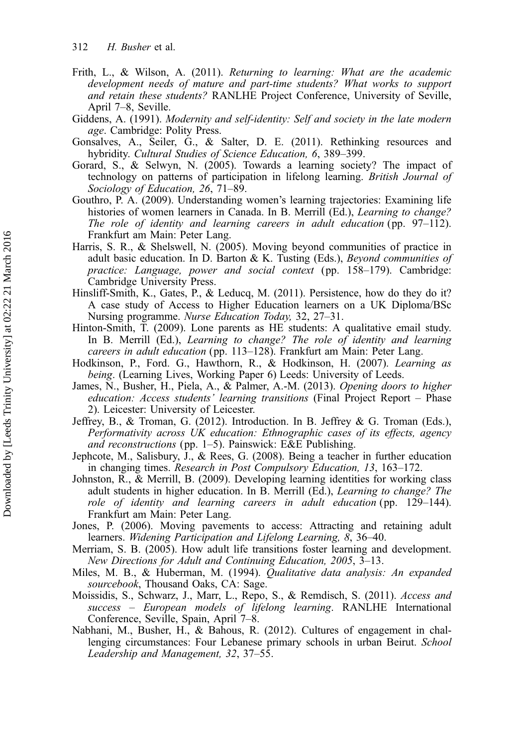- <span id="page-17-0"></span>Frith, L., & Wilson, A. (2011). Returning to learning: What are the academic development needs of mature and part-time students? What works to support and retain these students? RANLHE Project Conference, University of Seville, April 7–8, Seville.
- Giddens, A. (1991). Modernity and self-identity: Self and society in the late modern age. Cambridge: Polity Press.
- Gonsalves, A., Seiler, G., & Salter, D. E. (2011). Rethinking resources and hybridity. Cultural Studies of Science Education, 6, 389–399.
- Gorard, S., & Selwyn, N. (2005). Towards a learning society? The impact of technology on patterns of participation in lifelong learning. British Journal of Sociology of Education, 26, 71–89.
- Gouthro, P. A. (2009). Understanding women's learning trajectories: Examining life histories of women learners in Canada. In B. Merrill (Ed.), *Learning to change?* The role of identity and learning careers in adult education (pp.  $97-112$ ). Frankfurt am Main: Peter Lang.
- Harris, S. R., & Shelswell, N. (2005). Moving beyond communities of practice in adult basic education. In D. Barton & K. Tusting (Eds.), Beyond communities of practice: Language, power and social context (pp. 158–179). Cambridge: Cambridge University Press.
- Hinsliff-Smith, K., Gates, P., & Leducq, M. (2011). Persistence, how do they do it? A case study of Access to Higher Education learners on a UK Diploma/BSc Nursing programme. Nurse Education Today, 32, 27–31.
- Hinton-Smith, T. (2009). Lone parents as HE students: A qualitative email study. In B. Merrill (Ed.), *Learning to change? The role of identity and learning* careers in adult education (pp. 113–128). Frankfurt am Main: Peter Lang.
- Hodkinson, P., Ford. G., Hawthorn, R., & Hodkinson, H. (2007). Learning as being. (Learning Lives, Working Paper 6) Leeds: University of Leeds.
- James, N., Busher, H., Piela, A., & Palmer, A.-M. (2013). Opening doors to higher education: Access students' learning transitions (Final Project Report – Phase 2). Leicester: University of Leicester.
- Jeffrey, B., & Troman, G. (2012). Introduction. In B. Jeffrey & G. Troman (Eds.), Performativity across UK education: Ethnographic cases of its effects, agency and reconstructions (pp.  $1-5$ ). Painswick: E&E Publishing.
- Jephcote, M., Salisbury, J., & Rees, G. (2008). Being a teacher in further education in changing times. Research in Post Compulsory Education, 13, 163–172.
- Johnston, R., & Merrill, B. (2009). Developing learning identities for working class adult students in higher education. In B. Merrill (Ed.), Learning to change? The role of identity and learning careers in adult education (pp. 129–144). Frankfurt am Main: Peter Lang.
- Jones, P. (2006). Moving pavements to access: Attracting and retaining adult learners. Widening Participation and Lifelong Learning, 8, 36–40.
- Merriam, S. B. (2005). How adult life transitions foster learning and development. New Directions for Adult and Continuing Education, 2005, 3–13.
- Miles, M. B., & Huberman, M. (1994). Qualitative data analysis: An expanded sourcebook, Thousand Oaks, CA: Sage.
- Moissidis, S., Schwarz, J., Marr, L., Repo, S., & Remdisch, S. (2011). Access and success – European models of lifelong learning. RANLHE International Conference, Seville, Spain, April 7–8.
- Nabhani, M., Busher, H., & Bahous, R. (2012). Cultures of engagement in challenging circumstances: Four Lebanese primary schools in urban Beirut. School Leadership and Management, 32, 37–55.